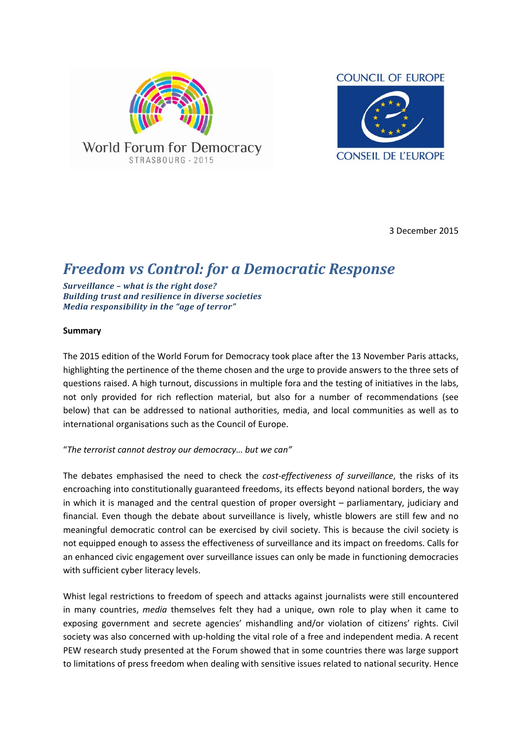



3 December 2015

# *Freedom vs Control: for a Democratic Response*

*Surveillance – what is the right dose? Building trust and resilience in diverse societies Media responsibility in the "age of terror"*

#### **Summary**

The 2015 edition of the World Forum for Democracy took place after the 13 November Paris attacks, highlighting the pertinence of the theme chosen and the urge to provide answers to the three sets of questions raised. A high turnout, discussions in multiple fora and the testing of initiatives in the labs, not only provided for rich reflection material, but also for a number of recommendations (see below) that can be addressed to national authorities, media, and local communities as well as to international organisations such as the Council of Europe.

#### "*The terrorist cannot destroy our democracy… but we can"*

The debates emphasised the need to check the *cost‐effectiveness of surveillance*, the risks of its encroaching into constitutionally guaranteed freedoms, its effects beyond national borders, the way in which it is managed and the central question of proper oversight – parliamentary, judiciary and financial. Even though the debate about surveillance is lively, whistle blowers are still few and no meaningful democratic control can be exercised by civil society. This is because the civil society is not equipped enough to assess the effectiveness of surveillance and its impact on freedoms. Calls for an enhanced civic engagement over surveillance issues can only be made in functioning democracies with sufficient cyber literacy levels.

Whist legal restrictions to freedom of speech and attacks against journalists were still encountered in many countries, *media* themselves felt they had a unique, own role to play when it came to exposing government and secrete agencies' mishandling and/or violation of citizens' rights. Civil society was also concerned with up-holding the vital role of a free and independent media. A recent PEW research study presented at the Forum showed that in some countries there was large support to limitations of press freedom when dealing with sensitive issues related to national security. Hence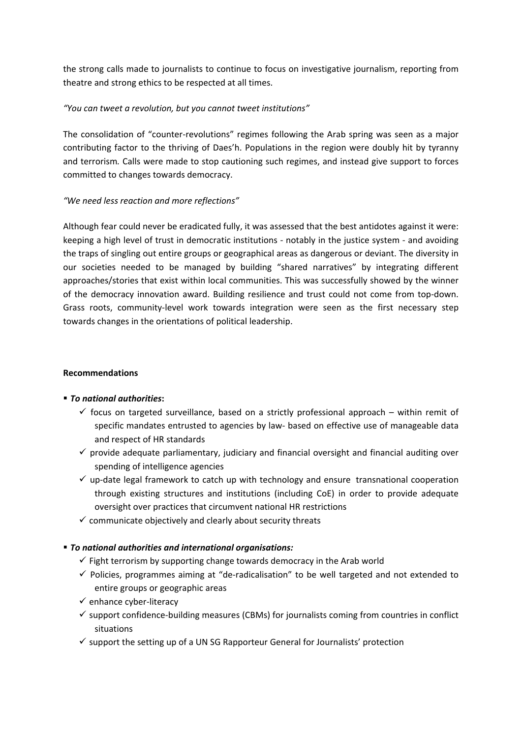the strong calls made to journalists to continue to focus on investigative journalism, reporting from theatre and strong ethics to be respected at all times.

## *"You can tweet a revolution, but you cannot tweet institutions"*

The consolidation of "counter‐revolutions" regimes following the Arab spring was seen as a major contributing factor to the thriving of Daes'h. Populations in the region were doubly hit by tyranny and terrorism*.* Calls were made to stop cautioning such regimes, and instead give support to forces committed to changes towards democracy.

### *"We need less reaction and more reflections"*

Although fear could never be eradicated fully, it was assessed that the best antidotes against it were: keeping a high level of trust in democratic institutions ‐ notably in the justice system ‐ and avoiding the traps of singling out entire groups or geographical areas as dangerous or deviant. The diversity in our societies needed to be managed by building "shared narratives" by integrating different approaches/stories that exist within local communities. This was successfully showed by the winner of the democracy innovation award. Building resilience and trust could not come from top‐down. Grass roots, community-level work towards integration were seen as the first necessary step towards changes in the orientations of political leadership.

#### **Recommendations**

# *To national authorities***:**

- $\checkmark$  focus on targeted surveillance, based on a strictly professional approach within remit of specific mandates entrusted to agencies by law‐ based on effective use of manageable data and respect of HR standards
- $\checkmark$  provide adequate parliamentary, judiciary and financial oversight and financial auditing over spending of intelligence agencies
- $\checkmark$  up-date legal framework to catch up with technology and ensure transnational cooperation through existing structures and institutions (including CoE) in order to provide adequate oversight over practices that circumvent national HR restrictions
- $\checkmark$  communicate objectively and clearly about security threats

#### *To national authorities and international organisations:*

- $\checkmark$  Fight terrorism by supporting change towards democracy in the Arab world
- $\checkmark$  Policies, programmes aiming at "de-radicalisation" to be well targeted and not extended to entire groups or geographic areas
- $\checkmark$  enhance cyber-literacy
- $\checkmark$  support confidence-building measures (CBMs) for journalists coming from countries in conflict situations
- $\checkmark$  support the setting up of a UN SG Rapporteur General for Journalists' protection